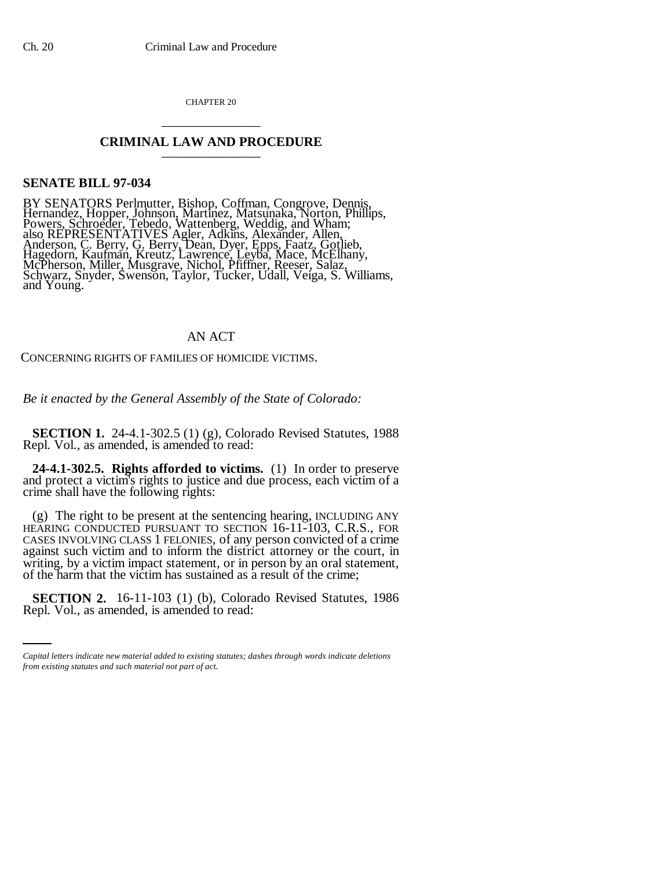CHAPTER 20 \_\_\_\_\_\_\_\_\_\_\_\_\_\_\_

## **CRIMINAL LAW AND PROCEDURE** \_\_\_\_\_\_\_\_\_\_\_\_\_\_\_

## **SENATE BILL 97-034**

BY SENATORS Perlmutter, Bishop, Coffman, Congrove, Dennis, Hernandez, Hopper, Johnson, Martinez, Matsunaka, Norton, Phillips, Powers, Schroeder, Tebedo, Wattenberg, Weddig, and Wham; also REPRESENTATIVES Agler, Adkins, Alexander, Allen, Anderson, C. Berry, G. Berry, Dean, Dyer, Epps, Faatz, Gotlieb, Hagedorn, Kaufman, Kreutz, Lawrence, Leyba, Mace, McElhany, McPherson, Miller, Musgrave, Nichol, Pfiffner, Reeser, Salaz, Schwarz, Snyder, Swenson, Taylor, Tucker, Udall, Veiga, S. Williams, and Young.

## AN ACT

CONCERNING RIGHTS OF FAMILIES OF HOMICIDE VICTIMS.

*Be it enacted by the General Assembly of the State of Colorado:*

**SECTION 1.** 24-4.1-302.5 (1) (g), Colorado Revised Statutes, 1988 Repl. Vol., as amended, is amended to read:

**24-4.1-302.5. Rights afforded to victims.** (1) In order to preserve and protect a victim's rights to justice and due process, each victim of a crime shall have the following rights:

(g) The right to be present at the sentencing hearing, INCLUDING ANY HEARING CONDUCTED PURSUANT TO SECTION 16-11-103, C.R.S., FOR CASES INVOLVING CLASS 1 FELONIES, of any person convicted of a crime against such victim and to inform the district attorney or the court, in writing, by a victim impact statement, or in person by an oral statement, of the harm that the victim has sustained as a result of the crime;

an<br>Salah **SECTION 2.** 16-11-103 (1) (b), Colorado Revised Statutes, 1986 Repl. Vol., as amended, is amended to read:

*Capital letters indicate new material added to existing statutes; dashes through words indicate deletions from existing statutes and such material not part of act.*